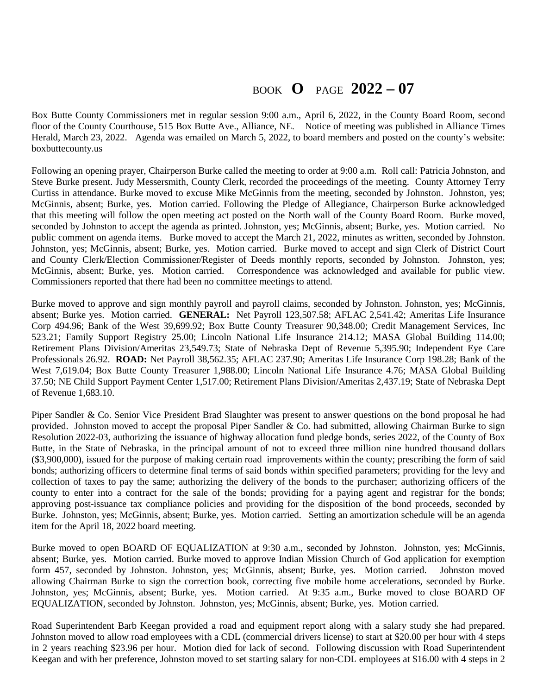## BOOK **O** PAGE **2022 – 07**

Box Butte County Commissioners met in regular session 9:00 a.m., April 6, 2022, in the County Board Room, second floor of the County Courthouse, 515 Box Butte Ave., Alliance, NE. Notice of meeting was published in Alliance Times Herald, March 23, 2022. Agenda was emailed on March 5, 2022, to board members and posted on the county's website: boxbuttecounty.us

Following an opening prayer, Chairperson Burke called the meeting to order at 9:00 a.m. Roll call: Patricia Johnston, and Steve Burke present. Judy Messersmith, County Clerk, recorded the proceedings of the meeting. County Attorney Terry Curtiss in attendance. Burke moved to excuse Mike McGinnis from the meeting, seconded by Johnston. Johnston, yes; McGinnis, absent; Burke, yes. Motion carried. Following the Pledge of Allegiance, Chairperson Burke acknowledged that this meeting will follow the open meeting act posted on the North wall of the County Board Room. Burke moved, seconded by Johnston to accept the agenda as printed. Johnston, yes; McGinnis, absent; Burke, yes. Motion carried. No public comment on agenda items. Burke moved to accept the March 21, 2022, minutes as written, seconded by Johnston. Johnston, yes; McGinnis, absent; Burke, yes. Motion carried. Burke moved to accept and sign Clerk of District Court and County Clerk/Election Commissioner/Register of Deeds monthly reports, seconded by Johnston. Johnston, yes; McGinnis, absent; Burke, yes. Motion carried. Correspondence was acknowledged and available for public view. Commissioners reported that there had been no committee meetings to attend.

Burke moved to approve and sign monthly payroll and payroll claims, seconded by Johnston. Johnston, yes; McGinnis, absent; Burke yes. Motion carried. **GENERAL:** Net Payroll 123,507.58; AFLAC 2,541.42; Ameritas Life Insurance Corp 494.96; Bank of the West 39,699.92; Box Butte County Treasurer 90,348.00; Credit Management Services, Inc 523.21; Family Support Registry 25.00; Lincoln National Life Insurance 214.12; MASA Global Building 114.00; Retirement Plans Division/Ameritas 23,549.73; State of Nebraska Dept of Revenue 5,395.90; Independent Eye Care Professionals 26.92. **ROAD:** Net Payroll 38,562.35; AFLAC 237.90; Ameritas Life Insurance Corp 198.28; Bank of the West 7,619.04; Box Butte County Treasurer 1,988.00; Lincoln National Life Insurance 4.76; MASA Global Building 37.50; NE Child Support Payment Center 1,517.00; Retirement Plans Division/Ameritas 2,437.19; State of Nebraska Dept of Revenue 1,683.10.

Piper Sandler & Co. Senior Vice President Brad Slaughter was present to answer questions on the bond proposal he had provided. Johnston moved to accept the proposal Piper Sandler & Co. had submitted, allowing Chairman Burke to sign Resolution 2022-03, authorizing the issuance of highway allocation fund pledge bonds, series 2022, of the County of Box Butte, in the State of Nebraska, in the principal amount of not to exceed three million nine hundred thousand dollars (\$3,900,000), issued for the purpose of making certain road improvements within the county; prescribing the form of said bonds; authorizing officers to determine final terms of said bonds within specified parameters; providing for the levy and collection of taxes to pay the same; authorizing the delivery of the bonds to the purchaser; authorizing officers of the county to enter into a contract for the sale of the bonds; providing for a paying agent and registrar for the bonds; approving post-issuance tax compliance policies and providing for the disposition of the bond proceeds, seconded by Burke. Johnston, yes; McGinnis, absent; Burke, yes. Motion carried. Setting an amortization schedule will be an agenda item for the April 18, 2022 board meeting.

Burke moved to open BOARD OF EQUALIZATION at 9:30 a.m., seconded by Johnston. Johnston, yes; McGinnis, absent; Burke, yes. Motion carried. Burke moved to approve Indian Mission Church of God application for exemption form 457, seconded by Johnston. Johnston, yes; McGinnis, absent; Burke, yes. Motion carried. Johnston moved allowing Chairman Burke to sign the correction book, correcting five mobile home accelerations, seconded by Burke. Johnston, yes; McGinnis, absent; Burke, yes. Motion carried. At 9:35 a.m., Burke moved to close BOARD OF EQUALIZATION, seconded by Johnston. Johnston, yes; McGinnis, absent; Burke, yes. Motion carried.

Road Superintendent Barb Keegan provided a road and equipment report along with a salary study she had prepared. Johnston moved to allow road employees with a CDL (commercial drivers license) to start at \$20.00 per hour with 4 steps in 2 years reaching \$23.96 per hour. Motion died for lack of second. Following discussion with Road Superintendent Keegan and with her preference, Johnston moved to set starting salary for non-CDL employees at \$16.00 with 4 steps in 2